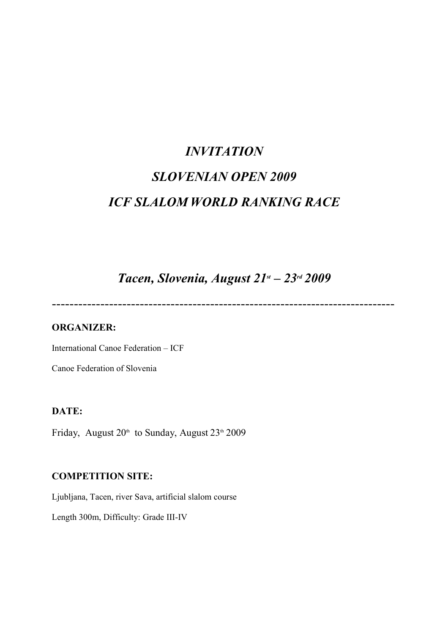# INVITATION SLOVENIAN OPEN 2009 ICF SLALOM WORLD RANKING RACE

Tacen, Slovenia, August  $21<sup>st</sup> - 23<sup>rd</sup> 2009$ 

------------------------------------------------------------------------------

## ORGANIZER:

International Canoe Federation – ICF

Canoe Federation of Slovenia

#### DATE:

Friday, August  $20<sup>th</sup>$  to Sunday, August  $23<sup>th</sup> 2009$ 

### COMPETITION SITE:

Ljubljana, Tacen, river Sava, artificial slalom course

Length 300m, Difficulty: Grade III-IV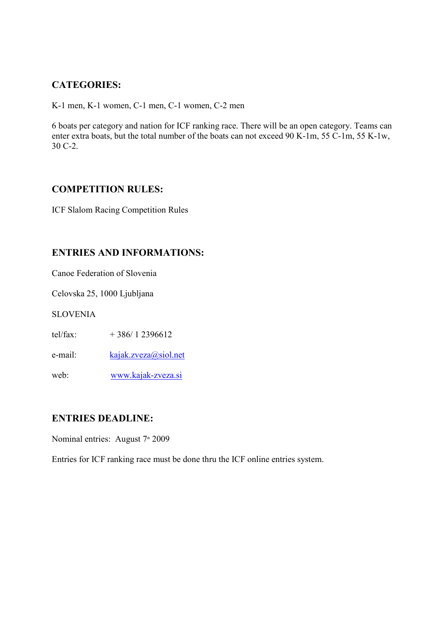## CATEGORIES:

K-1 men, K-1 women, C-1 men, C-1 women, C-2 men

6 boats per category and nation for ICF ranking race. There will be an open category. Teams can enter extra boats, but the total number of the boats can not exceed 90 K-1m, 55 C-1m, 55 K-1w, 30 C-2.

#### COMPETITION RULES:

ICF Slalom Racing Competition Rules

### ENTRIES AND INFORMATIONS:

Canoe Federation of Slovenia

Celovska 25, 1000 Ljubljana

SLOVENIA

tel/fax:  $+386/12396612$ 

e-mail: kajak.zveza@siol.net

web: www.kajak-zveza.si

#### ENTRIES DEADLINE:

Nominal entries: August 7<sup>th</sup> 2009

Entries for ICF ranking race must be done thru the ICF online entries system.